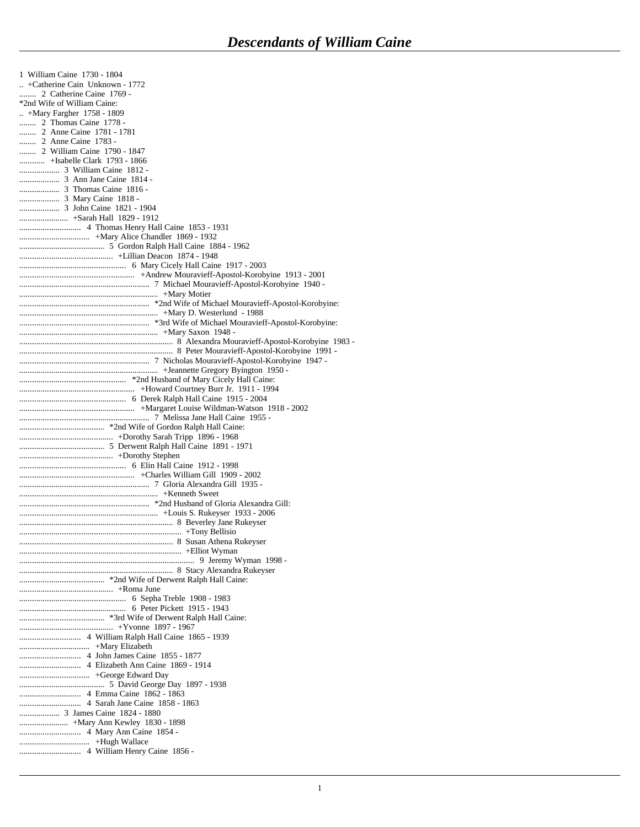| 1 William Caine 1730 - 1804    |
|--------------------------------|
| +Catherine Cain Unknown - 1772 |
| 2 Catherine Caine 1769 -       |
| *2nd Wife of William Caine:    |
| $+$ Mary Fargher 1758 - 1809   |
| 2 Thomas Caine 1778 -          |
| 2 Anne Caine 1781 - 1781       |
| 2 Anne Caine 1783 -            |
| 2 William Caine 1790 - 1847    |
| +Isabelle Clark 1793 - 1866    |
|                                |
|                                |
|                                |
|                                |
|                                |
|                                |
|                                |
|                                |
|                                |
|                                |
|                                |
|                                |
|                                |
|                                |
|                                |
|                                |
|                                |
|                                |
|                                |
|                                |
|                                |
|                                |
|                                |
|                                |
|                                |
|                                |
|                                |
|                                |
|                                |
|                                |
|                                |
|                                |
|                                |
|                                |
|                                |
|                                |
|                                |
|                                |
|                                |
|                                |
|                                |
|                                |
|                                |
|                                |
|                                |
|                                |
|                                |
|                                |
|                                |
|                                |
|                                |
|                                |
|                                |
|                                |
|                                |
|                                |
|                                |
|                                |
|                                |
|                                |
|                                |
|                                |
|                                |